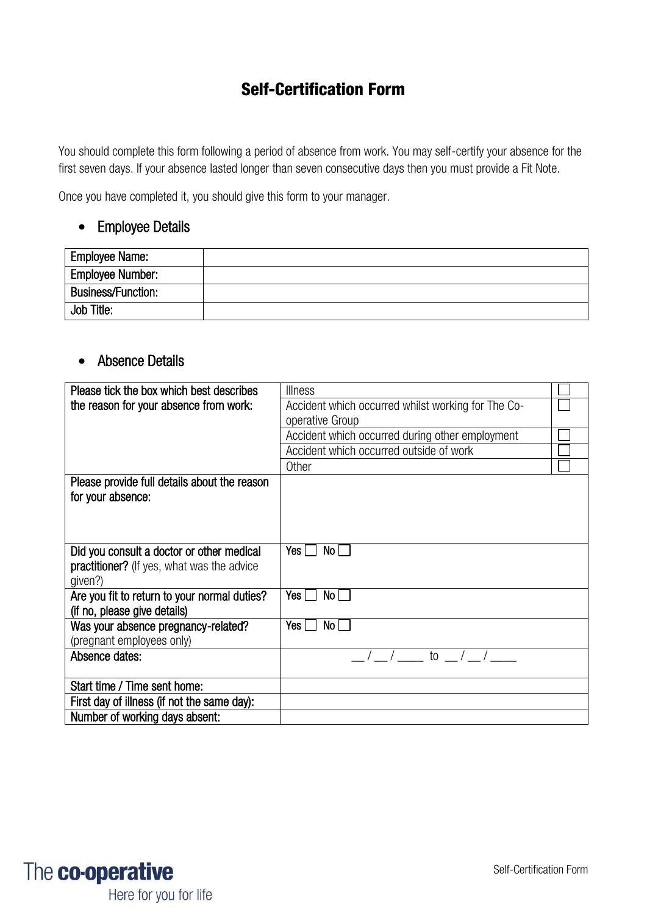# Self-Certification Form

You should complete this form following a period of absence from work. You may self-certify your absence for the first seven days. If your absence lasted longer than seven consecutive days then you must provide a Fit Note.

Once you have completed it, you should give this form to your manager.

## • Employee Details

| <b>Employee Name:</b>     |  |
|---------------------------|--|
| <b>Employee Number:</b>   |  |
| <b>Business/Function:</b> |  |
| Job Title:                |  |

## • Absence Details

| Please tick the box which best describes          | <b>Illness</b>                                     |  |
|---------------------------------------------------|----------------------------------------------------|--|
| the reason for your absence from work:            | Accident which occurred whilst working for The Co- |  |
|                                                   | operative Group                                    |  |
|                                                   | Accident which occurred during other employment    |  |
|                                                   | Accident which occurred outside of work            |  |
|                                                   | Other                                              |  |
| Please provide full details about the reason      |                                                    |  |
| for your absence:                                 |                                                    |  |
|                                                   |                                                    |  |
|                                                   |                                                    |  |
| Did you consult a doctor or other medical         | No<br>Yes                                          |  |
| <b>practitioner?</b> (If yes, what was the advice |                                                    |  |
| given?)                                           |                                                    |  |
| Are you fit to return to your normal duties?      | Yes $\Box$<br>No <sub>1</sub>                      |  |
| (if no, please give details)                      |                                                    |  |
| Was your absence pregnancy-related?               | Yes    <br>No l                                    |  |
| (pregnant employees only)                         |                                                    |  |
| Absence dates:                                    | $\frac{1}{\sqrt{2}}$ to $\frac{1}{\sqrt{2}}$       |  |
|                                                   |                                                    |  |
| Start time / Time sent home:                      |                                                    |  |
| First day of illness (if not the same day):       |                                                    |  |
| Number of working days absent:                    |                                                    |  |